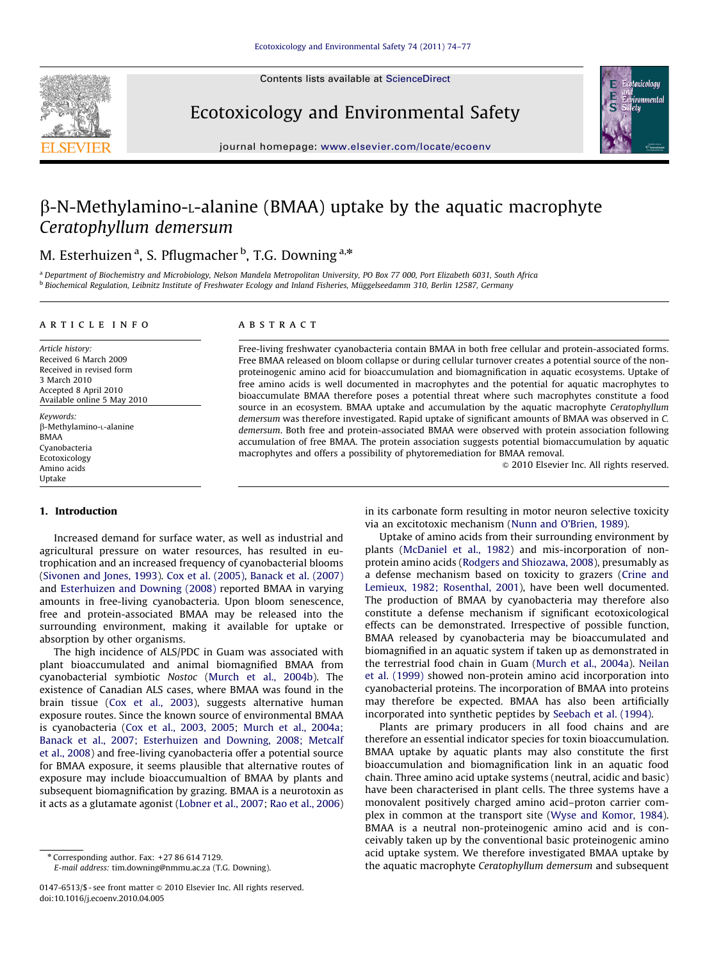Contents lists available at ScienceDirect



Ecotoxicology and Environmental Safety



journal homepage: <www.elsevier.com/locate/ecoenv>

# $\beta$ -N-Methylamino-L-alanine (BMAA) uptake by the aquatic macrophyte Ceratophyllum demersum

## M. Esterhuizen <sup>a</sup>, S. Pflugmacher <sup>b</sup>, T.G. Downing <sup>a,</sup>\*

<sup>a</sup> Department of Biochemistry and Microbiology, Nelson Mandela Metropolitan University, PO Box 77 000, Port Elizabeth 6031, South Africa <sup>b</sup> Biochemical Regulation, Leibnitz Institute of Freshwater Ecology and Inland Fisheries, Muggelseedamm 310, Berlin 12587, Germany ¨

## article info

Article history: Received 6 March 2009 Received in revised form 3 March 2010 Accepted 8 April 2010 Available online 5 May 2010

Keywords: b-Methylamino-L-alanine BMAA Cyanobacteria Ecotoxicology Amino acids Uptake

## **ABSTRACT**

Free-living freshwater cyanobacteria contain BMAA in both free cellular and protein-associated forms. Free BMAA released on bloom collapse or during cellular turnover creates a potential source of the nonproteinogenic amino acid for bioaccumulation and biomagnification in aquatic ecosystems. Uptake of free amino acids is well documented in macrophytes and the potential for aquatic macrophytes to bioaccumulate BMAA therefore poses a potential threat where such macrophytes constitute a food source in an ecosystem. BMAA uptake and accumulation by the aquatic macrophyte Ceratophyllum demersum was therefore investigated. Rapid uptake of significant amounts of BMAA was observed in C. demersum. Both free and protein-associated BMAA were observed with protein association following accumulation of free BMAA. The protein association suggests potential biomaccumulation by aquatic macrophytes and offers a possibility of phytoremediation for BMAA removal.

 $© 2010 Elsevier Inc. All rights reserved.$ 

## 1. Introduction

Increased demand for surface water, as well as industrial and agricultural pressure on water resources, has resulted in eutrophication and an increased frequency of cyanobacterial blooms ([Sivonen and Jones, 1993](#page-3-0)). [Cox et al. \(2005\)](#page-2-0), [Banack et al. \(2007\)](#page-2-0) and [Esterhuizen and Downing \(2008\)](#page-2-0) reported BMAA in varying amounts in free-living cyanobacteria. Upon bloom senescence, free and protein-associated BMAA may be released into the surrounding environment, making it available for uptake or absorption by other organisms.

The high incidence of ALS/PDC in Guam was associated with plant bioaccumulated and animal biomagnified BMAA from cyanobacterial symbiotic Nostoc [\(Murch et al., 2004b\)](#page-3-0). The existence of Canadian ALS cases, where BMAA was found in the brain tissue [\(Cox et al., 2003\)](#page-2-0), suggests alternative human exposure routes. Since the known source of environmental BMAA is cyanobacteria ([Cox et al., 2003, 2005;](#page-2-0) [Murch et al., 2004a;](#page-2-0) [Banack et al., 2007; Esterhuizen and Downing, 2008; Metcalf](#page-2-0) [et al., 2008\)](#page-2-0) and free-living cyanobacteria offer a potential source for BMAA exposure, it seems plausible that alternative routes of exposure may include bioaccumualtion of BMAA by plants and subsequent biomagnification by grazing. BMAA is a neurotoxin as it acts as a glutamate agonist [\(Lobner et al., 2007](#page-2-0); [Rao et al., 2006\)](#page-3-0)

E-mail address: [tim.downing@nmmu.ac.za \(T.G. Downing\)](mailto:tim.downing@nmmu.ac.za).

in its carbonate form resulting in motor neuron selective toxicity via an excitotoxic mechanism ([Nunn and O'Brien, 1989](#page-3-0)).

Uptake of amino acids from their surrounding environment by plants [\(McDaniel et al., 1982](#page-2-0)) and mis-incorporation of nonprotein amino acids [\(Rodgers and Shiozawa, 2008\)](#page-3-0), presumably as a defense mechanism based on toxicity to grazers ([Crine and](#page-2-0) [Lemieux, 1982; Rosenthal, 2001](#page-2-0)), have been well documented. The production of BMAA by cyanobacteria may therefore also constitute a defense mechanism if significant ecotoxicological effects can be demonstrated. Irrespective of possible function, BMAA released by cyanobacteria may be bioaccumulated and biomagnified in an aquatic system if taken up as demonstrated in the terrestrial food chain in Guam [\(Murch et al., 2004a\)](#page-2-0). [Neilan](#page-3-0) [et al. \(1999\)](#page-3-0) showed non-protein amino acid incorporation into cyanobacterial proteins. The incorporation of BMAA into proteins may therefore be expected. BMAA has also been artificially incorporated into synthetic peptides by [Seebach et al. \(1994\)](#page-3-0).

Plants are primary producers in all food chains and are therefore an essential indicator species for toxin bioaccumulation. BMAA uptake by aquatic plants may also constitute the first bioaccumulation and biomagnification link in an aquatic food chain. Three amino acid uptake systems (neutral, acidic and basic) have been characterised in plant cells. The three systems have a monovalent positively charged amino acid–proton carrier complex in common at the transport site [\(Wyse and Komor, 1984\)](#page-3-0). BMAA is a neutral non-proteinogenic amino acid and is conceivably taken up by the conventional basic proteinogenic amino acid uptake system. We therefore investigated BMAA uptake by the aquatic macrophyte Ceratophyllum demersum and subsequent

 $*$  Corresponding author. Fax:  $+27866147129$ .

<sup>0147-6513/\$ -</sup> see front matter  $\circ$  2010 Elsevier Inc. All rights reserved. doi:[10.1016/j.ecoenv.2010.04.005](dx.doi.org/10.1016/j.ecoenv.2010.04.005)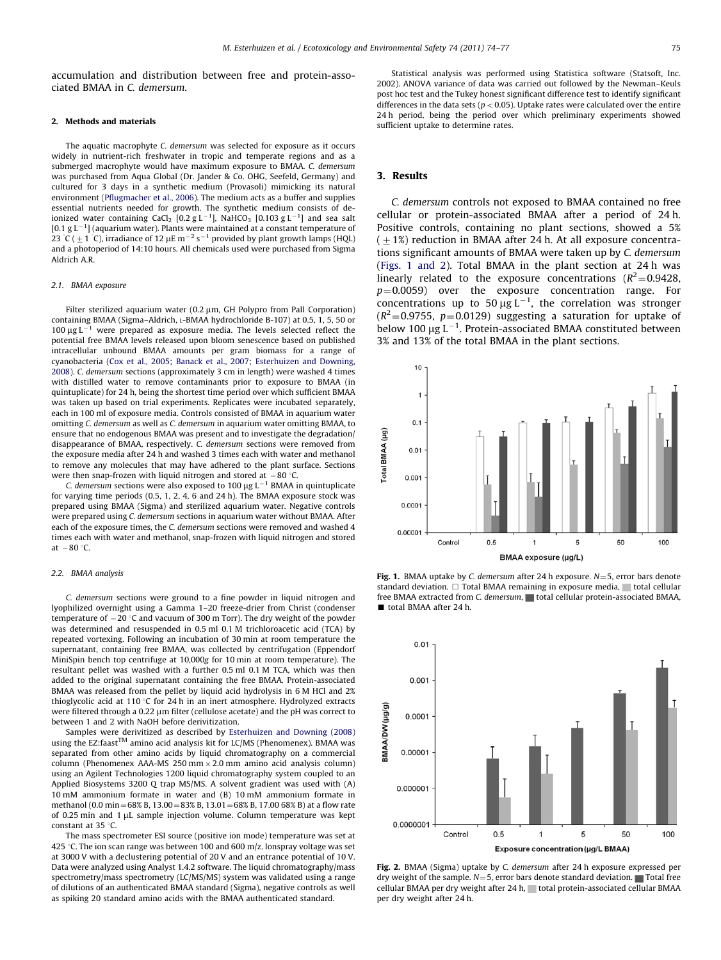accumulation and distribution between free and protein-associated BMAA in C. demersum.

## 2. Methods and materials

The aquatic macrophyte C. demersum was selected for exposure as it occurs widely in nutrient-rich freshwater in tropic and temperate regions and as a submerged macrophyte would have maximum exposure to BMAA. C. demersum was purchased from Aqua Global (Dr. Jander & Co. OHG, Seefeld, Germany) and cultured for 3 days in a synthetic medium (Provasoli) mimicking its natural environment [\(Pflugmacher et al., 2006](#page-3-0)). The medium acts as a buffer and supplies essential nutrients needed for growth. The synthetic medium consists of deionized water containing CaCl<sub>2</sub> [0.2 g L<sup>-1</sup>], NaHCO<sub>3</sub> [0.103 g L<sup>-1</sup>] and sea salt  $[0.1 g L<sup>-1</sup>]$  (aquarium water). Plants were maintained at a constant temperature of 23 °C (  $\pm$  1 °C), irradiance of 12  $\mu$ E m<sup>-2</sup> s<sup>-1</sup> provided by plant growth lamps (HQL) and a photoperiod of 14:10 hours. All chemicals used were purchased from Sigma Aldrich A.R.

#### 2.1. BMAA exposure

Filter sterilized aquarium water  $(0.2 \mu m, G$ H Polypro from Pall Corporation) containing BMAA (Sigma–Aldrich, L-BMAA hydrochloride B-107) at 0.5, 1, 5, 50 or 100  $\mu$ g L<sup>-1</sup> were prepared as exposure media. The levels selected reflect the potential free BMAA levels released upon bloom senescence based on published intracellular unbound BMAA amounts per gram biomass for a range of cyanobacteria [\(Cox et al., 2005; Banack et al., 2007; Esterhuizen and Downing,](#page-2-0) [2008\)](#page-2-0). C. demersum sections (approximately 3 cm in length) were washed 4 times with distilled water to remove contaminants prior to exposure to BMAA (in quintuplicate) for 24 h, being the shortest time period over which sufficient BMAA was taken up based on trial experiments. Replicates were incubated separately, each in 100 ml of exposure media. Controls consisted of BMAA in aquarium water omitting C. demersum as well as C. demersum in aquarium water omitting BMAA, to ensure that no endogenous BMAA was present and to investigate the degradation/ disappearance of BMAA, respectively. C. demersum sections were removed from the exposure media after 24 h and washed 3 times each with water and methanol to remove any molecules that may have adhered to the plant surface. Sections

were then snap-frozen with liquid nitrogen and stored at  $-80$  °C.<br>C. demersum sections were also exposed to 100  $\mu$ g L<sup>-1</sup> BMAA in quintuplicate for varying time periods (0.5, 1, 2, 4, 6 and 24 h). The BMAA exposure stock was prepared using BMAA (Sigma) and sterilized aquarium water. Negative controls were prepared using C. demersum sections in aquarium water without BMAA. After each of the exposure times, the C. demersum sections were removed and washed 4 times each with water and methanol, snap-frozen with liquid nitrogen and stored at  $-80$  °C.

#### 2.2. BMAA analysis

C. demersum sections were ground to a fine powder in liquid nitrogen and lyophilized overnight using a Gamma 1–20 freeze-drier from Christ (condenser temperature of  $-20$  °C and vacuum of 300 m Torr). The dry weight of the powder was determined and resuspended in 0.5 ml 0.1 M trichloroacetic acid (TCA) by repeated vortexing. Following an incubation of 30 min at room temperature the supernatant, containing free BMAA, was collected by centrifugation (Eppendorf MiniSpin bench top centrifuge at 10,000g for 10 min at room temperature). The resultant pellet was washed with a further 0.5 ml 0.1 M TCA, which was then added to the original supernatant containing the free BMAA. Protein-associated BMAA was released from the pellet by liquid acid hydrolysis in 6 M HCl and 2% thioglycolic acid at 110  $\degree$ C for 24 h in an inert atmosphere. Hydrolyzed extracts were filtered through a 0.22 um filter (cellulose acetate) and the pH was correct to between 1 and 2 with NaOH before derivitization.

Samples were derivitized as described by [Esterhuizen and Downing \(2008\)](#page-2-0) using the EZ:faast<sup>TM</sup> amino acid analysis kit for LC/MS (Phenomenex). BMAA was separated from other amino acids by liquid chromatography on a commercial column (Phenomenex AAA-MS 250 mm  $\times$  2.0 mm amino acid analysis column) using an Agilent Technologies 1200 liquid chromatography system coupled to an Applied Biosystems 3200 Q trap MS/MS. A solvent gradient was used with (A) 10 mM ammonium formate in water and (B) 10 mM ammonium formate in methanol (0.0 min =  $68\%$  B, 13.00 =  $83\%$  B, 13.01 =  $68\%$  B, 17.00 68% B) at a flow rate of 0.25 min and 1  $\mu$ L sample injection volume. Column temperature was kept constant at 35  $\degree$ C.

The mass spectrometer ESI source (positive ion mode) temperature was set at 425 °C. The ion scan range was between 100 and 600 m/z. Ionspray voltage was set at 3000 V with a declustering potential of 20 V and an entrance potential of 10 V. Data were analyzed using Analyst 1.4.2 software. The liquid chromatography/mass spectrometry/mass spectrometry (LC/MS/MS) system was validated using a range of dilutions of an authenticated BMAA standard (Sigma), negative controls as well as spiking 20 standard amino acids with the BMAA authenticated standard.

Statistical analysis was performed using Statistica software (Statsoft, Inc. 2002). ANOVA variance of data was carried out followed by the Newman–Keuls post hoc test and the Tukey honest significant difference test to identify significant differences in the data sets ( $p < 0.05$ ). Uptake rates were calculated over the entire 24 h period, being the period over which preliminary experiments showed sufficient uptake to determine rates.

## 3. Results

C. demersum controls not exposed to BMAA contained no free cellular or protein-associated BMAA after a period of 24 h. Positive controls, containing no plant sections, showed a 5%  $(1.1%)$  reduction in BMAA after 24 h. At all exposure concentrations significant amounts of BMAA were taken up by C. demersum (Figs. 1 and 2). Total BMAA in the plant section at 24 h was linearly related to the exposure concentrations  $(R^2=0.9428,$  $p=0.0059$ ) over the exposure concentration range. For concentrations up to  $50 \mu g L^{-1}$ , the correlation was stronger  $(R^2=0.9755, p=0.0129)$  suggesting a saturation for uptake of below 100  $\mu$ g L<sup>-1</sup>. Protein-associated BMAA constituted between 3% and 13% of the total BMAA in the plant sections.



Fig. 1. BMAA uptake by C. demersum after 24 h exposure.  $N=5$ , error bars denote standard deviation.  $\Box$  Total BMAA remaining in exposure media, itotal cellular free BMAA extracted from C. demersum, total cellular protein-associated BMAA, ■ total BMAA after 24 h.



Fig. 2. BMAA (Sigma) uptake by C. demersum after 24 h exposure expressed per dry weight of the sample.  $N=5$ , error bars denote standard deviation. Total free cellular BMAA per dry weight after 24 h, total protein-associated cellular BMAA per dry weight after 24 h.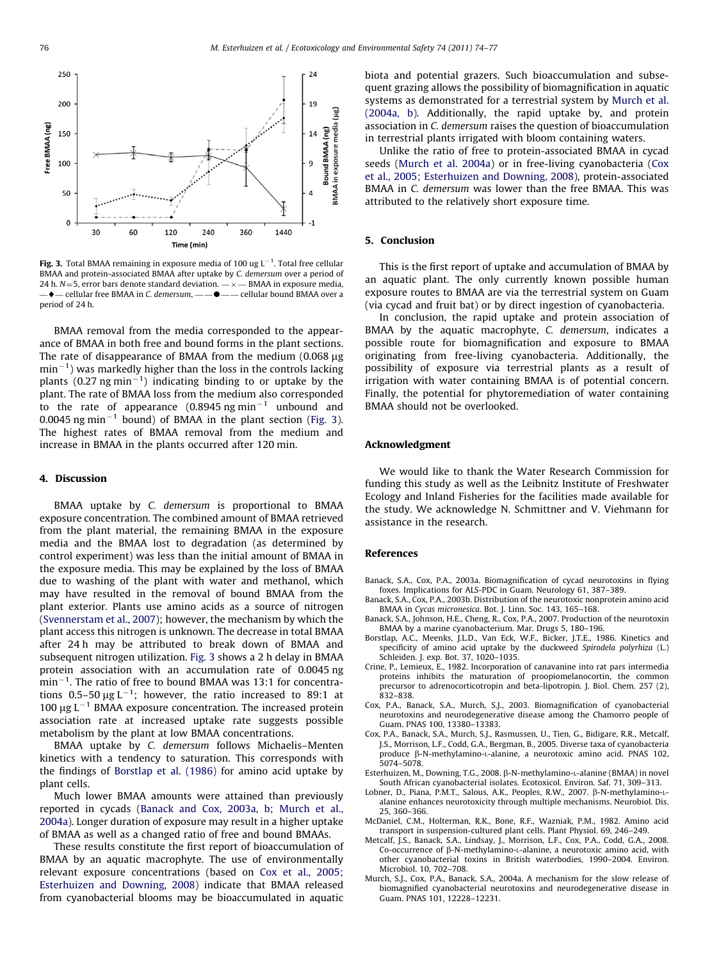<span id="page-2-0"></span>

Fig. 3. Total BMAA remaining in exposure media of 100 ug  $L^{-1}$ . Total free cellular BMAA and protein-associated BMAA after uptake by C. demersum over a period of 24 h.  $N=5$ , error bars denote standard deviation.  $-\times$  - BMAA in exposure media,  $-\bullet$  — cellular free BMAA in C. demersum, —  $-\bullet$  — — cellular bound BMAA over a period of 24 h.

BMAA removal from the media corresponded to the appearance of BMAA in both free and bound forms in the plant sections. The rate of disappearance of BMAA from the medium  $(0.068 \mu g)$  $\text{min}^{-1}$ ) was markedly higher than the loss in the controls lacking plants (0.27 ng min<sup>-1</sup>) indicating binding to or uptake by the plant. The rate of BMAA loss from the medium also corresponded to the rate of appearance  $(0.8945 \text{ ng min}^{-1}$  unbound and  $0.0045$  ng min<sup>-1</sup> bound) of BMAA in the plant section (Fig. 3). The highest rates of BMAA removal from the medium and increase in BMAA in the plants occurred after 120 min.

## 4. Discussion

BMAA uptake by C. demersum is proportional to BMAA exposure concentration. The combined amount of BMAA retrieved from the plant material, the remaining BMAA in the exposure media and the BMAA lost to degradation (as determined by control experiment) was less than the initial amount of BMAA in the exposure media. This may be explained by the loss of BMAA due to washing of the plant with water and methanol, which may have resulted in the removal of bound BMAA from the plant exterior. Plants use amino acids as a source of nitrogen ([Svennerstam et al., 2007\)](#page-3-0); however, the mechanism by which the plant access this nitrogen is unknown. The decrease in total BMAA after 24 h may be attributed to break down of BMAA and subsequent nitrogen utilization. Fig. 3 shows a 2 h delay in BMAA protein association with an accumulation rate of 0.0045 ng min<sup>-1</sup>. The ratio of free to bound BMAA was 13:1 for concentrations 0.5–50  $\mu$ g L<sup>-1</sup>; however, the ratio increased to 89:1 at 100  $\mu$ g L<sup>-1</sup> BMAA exposure concentration. The increased protein association rate at increased uptake rate suggests possible metabolism by the plant at low BMAA concentrations.

BMAA uptake by C. demersum follows Michaelis–Menten kinetics with a tendency to saturation. This corresponds with the findings of Borstlap et al. (1986) for amino acid uptake by plant cells.

Much lower BMAA amounts were attained than previously reported in cycads (Banack and Cox, 2003a, b; Murch et al., 2004a). Longer duration of exposure may result in a higher uptake of BMAA as well as a changed ratio of free and bound BMAAs.

These results constitute the first report of bioaccumulation of BMAA by an aquatic macrophyte. The use of environmentally relevant exposure concentrations (based on Cox et al., 2005; Esterhuizen and Downing, 2008) indicate that BMAA released from cyanobacterial blooms may be bioaccumulated in aquatic

biota and potential grazers. Such bioaccumulation and subsequent grazing allows the possibility of biomagnification in aquatic systems as demonstrated for a terrestrial system by Murch et al. (2004a, b). Additionally, the rapid uptake by, and protein association in C. demersum raises the question of bioaccumulation in terrestrial plants irrigated with bloom containing waters.

Unlike the ratio of free to protein-associated BMAA in cycad seeds (Murch et al. 2004a) or in free-living cyanobacteria (Cox et al., 2005; Esterhuizen and Downing, 2008), protein-associated BMAA in C. demersum was lower than the free BMAA. This was attributed to the relatively short exposure time.

## 5. Conclusion

This is the first report of uptake and accumulation of BMAA by an aquatic plant. The only currently known possible human exposure routes to BMAA are via the terrestrial system on Guam (via cycad and fruit bat) or by direct ingestion of cyanobacteria.

In conclusion, the rapid uptake and protein association of BMAA by the aquatic macrophyte, C. demersum, indicates a possible route for biomagnification and exposure to BMAA originating from free-living cyanobacteria. Additionally, the possibility of exposure via terrestrial plants as a result of irrigation with water containing BMAA is of potential concern. Finally, the potential for phytoremediation of water containing BMAA should not be overlooked.

## Acknowledgment

We would like to thank the Water Research Commission for funding this study as well as the Leibnitz Institute of Freshwater Ecology and Inland Fisheries for the facilities made available for the study. We acknowledge N. Schmittner and V. Viehmann for assistance in the research.

## References

- Banack, S.A., Cox, P.A., 2003a. Biomagnification of cycad neurotoxins in flying foxes. Implications for ALS-PDC in Guam. Neurology 61, 387–389.
- Banack, S.A., Cox, P.A., 2003b. Distribution of the neurotoxic nonprotein amino acid BMAA in Cycas micronesica. Bot. J. Linn. Soc. 143, 165–168.
- Banack, S.A., Johnson, H.E., Cheng, R., Cox, P.A., 2007. Production of the neurotoxin BMAA by a marine cyanobacterium. Mar. Drugs 5, 180–196.
- Borstlap, A.C., Meenks, J.L.D., Van Eck, W.F., Bicker, J.T.E., 1986. Kinetics and specificity of amino acid uptake by the duckweed Spirodela polyrhiza (L.) Schleiden. J. exp. Bot. 37, 1020–1035.
- Crine, P., Lemieux, E., 1982. Incorporation of canavanine into rat pars intermedia proteins inhibits the maturation of proopiomelanocortin, the common precursor to adrenocorticotropin and beta-lipotropin. J. Biol. Chem. 257 (2), 832–838.
- Cox, P.A., Banack, S.A., Murch, S.J., 2003. Biomagnification of cyanobacterial neurotoxins and neurodegenerative disease among the Chamorro people of Guam. PNAS 100, 13380–13383.
- Cox, P.A., Banack, S.A., Murch, S.J., Rasmussen, U., Tien, G., Bidigare, R.R., Metcalf, J.S., Morrison, L.F., Codd, G.A., Bergman, B., 2005. Diverse taxa of cyanobacteria produce b-N-methylamino-L-alanine, a neurotoxic amino acid. PNAS 102, 5074–5078.
- Esterhuizen, M., Downing, T.G., 2008. β-N-methylamino-L-alanine (BMAA) in novel South African cyanobacterial isolates. Ecotoxicol. Environ. Saf. 71, 309–313.
- Lobner, D., Piana, P.M.T., Salous, A.K., Peoples, R.W., 2007. ß-N-methylamino-Lalanine enhances neurotoxicity through multiple mechanisms. Neurobiol. Dis. 25, 360–366.
- McDaniel, C.M., Holterman, R.K., Bone, R.F., Wazniak, P.M., 1982. Amino acid transport in suspension-cultured plant cells. Plant Physiol. 69, 246–249.
- Metcalf, J.S., Banack, S.A., Lindsay, J., Morrison, L.F., Cox, P.A., Codd, G.A., 2008. Co-occurrence of  $\beta$ -N-methylamino-L-alanine, a neurotoxic amino acid, with other cyanobacterial toxins in British waterbodies, 1990–2004. Environ. Microbiol. 10, 702–708.
- Murch, S.J., Cox, P.A., Banack, S.A., 2004a. A mechanism for the slow release of biomagnified cyanobacterial neurotoxins and neurodegenerative disease in Guam. PNAS 101, 12228–12231.